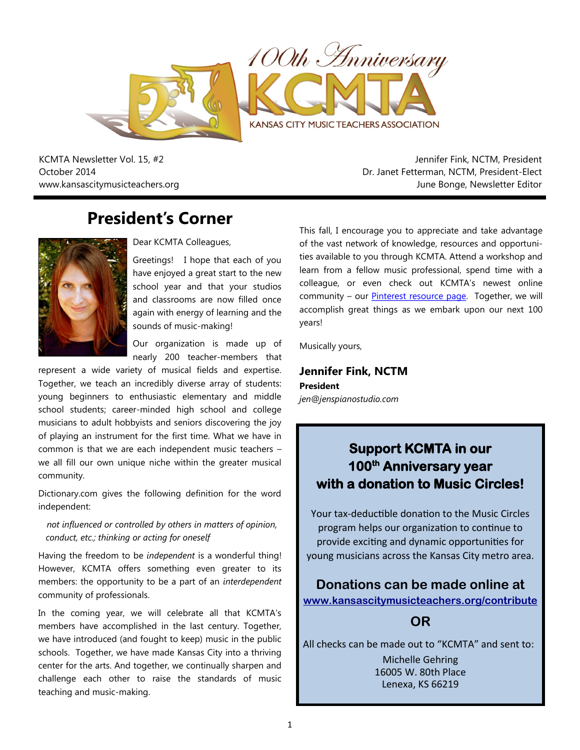

KCMTA Newsletter Vol. 15, #2 October 2014 www.kansascitymusicteachers.org

Jennifer Fink, NCTM, President Dr. Janet Fetterman, NCTM, President-Elect June Bonge, Newsletter Editor

## **President's Corner**



Dear KCMTA Colleagues,

Greetings! I hope that each of you have enjoyed a great start to the new school year and that your studios and classrooms are now filled once again with energy of learning and the sounds of music-making!

Our organization is made up of nearly 200 teacher-members that

represent a wide variety of musical fields and expertise. Together, we teach an incredibly diverse array of students: young beginners to enthusiastic elementary and middle school students; career-minded high school and college musicians to adult hobbyists and seniors discovering the joy of playing an instrument for the first time. What we have in common is that we are each independent music teachers – we all fill our own unique niche within the greater musical community.

Dictionary.com gives the following definition for the word independent:

*not influenced or controlled by others in matters of opinion, conduct, etc.; thinking or acting for oneself*

Having the freedom to be *independent* is a wonderful thing! However, KCMTA offers something even greater to its members: the opportunity to be a part of an *interdependent*  community of professionals.

In the coming year, we will celebrate all that KCMTA's members have accomplished in the last century. Together, we have introduced (and fought to keep) music in the public schools. Together, we have made Kansas City into a thriving center for the arts. And together, we continually sharpen and challenge each other to raise the standards of music teaching and music-making.

This fall, I encourage you to appreciate and take advantage of the vast network of knowledge, resources and opportunities available to you through KCMTA. Attend a workshop and learn from a fellow music professional, spend time with a colleague, or even check out KCMTA's newest online community - our **Pinterest resource page**. Together, we will accomplish great things as we embark upon our next 100 years!

Musically yours,

**Jennifer Fink, NCTM President** *jen@jenspianostudio.com*

## **Support KCMTA in our 100th Anniversary year with a donation to Music Circles!**

Your tax-deductible donation to the Music Circles program helps our organization to continue to provide exciting and dynamic opportunities for young musicians across the Kansas City metro area.

**Donations can be made online at [www.kansascitymusicteachers.org/contribute](http://kansascitymusicteachers.org/contribute)**

#### **OR**

All checks can be made out to "KCMTA" and sent to: Michelle Gehring 16005 W. 80th Place Lenexa, KS 66219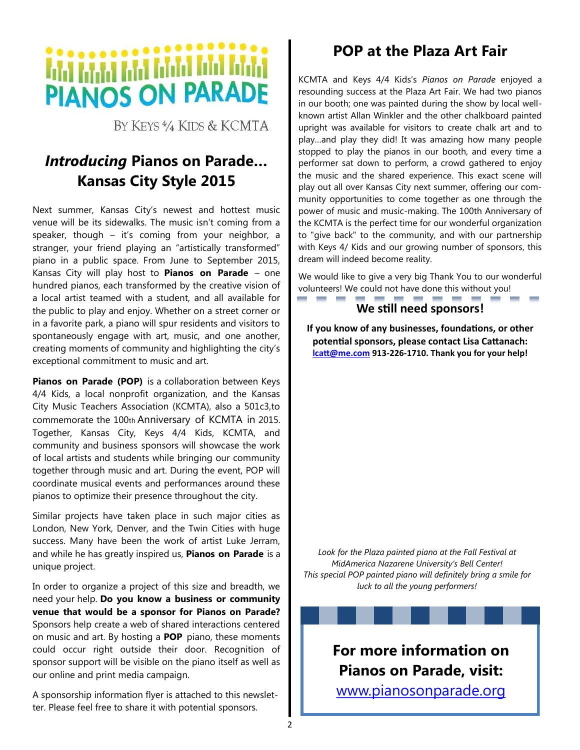# **PIANOS ON PARADE**

BY KEYS<sup>4</sup>/<sub>4</sub> KIDS & KCMTA

## *Introducing* **Pianos on Parade… Kansas City Style 2015**

Next summer, Kansas City's newest and hottest music venue will be its sidewalks. The music isn't coming from a speaker, though – it's coming from your neighbor, a stranger, your friend playing an "artistically transformed" piano in a public space. From June to September 2015, Kansas City will play host to **Pianos on Parade** – one hundred pianos, each transformed by the creative vision of a local artist teamed with a student, and all available for the public to play and enjoy. Whether on a street corner or in a favorite park, a piano will spur residents and visitors to spontaneously engage with art, music, and one another, creating moments of community and highlighting the city's exceptional commitment to music and art.

**Pianos on Parade (POP)** is a collaboration between Keys 4/4 Kids, a local nonprofit organization, and the Kansas City Music Teachers Association (KCMTA), also a 501c3,to commemorate the 100th Anniversary of KCMTA in 2015. Together, Kansas City, Keys 4/4 Kids, KCMTA, and community and business sponsors will showcase the work of local artists and students while bringing our community together through music and art. During the event, POP will coordinate musical events and performances around these pianos to optimize their presence throughout the city.

Similar projects have taken place in such major cities as London, New York, Denver, and the Twin Cities with huge success. Many have been the work of artist Luke Jerram, and while he has greatly inspired us, **Pianos on Parade** is a unique project.

In order to organize a project of this size and breadth, we need your help. **Do you know a business or community venue that would be a sponsor for Pianos on Parade?**  Sponsors help create a web of shared interactions centered on music and art. By hosting a **POP** piano, these moments could occur right outside their door. Recognition of sponsor support will be visible on the piano itself as well as our online and print media campaign.

A sponsorship information flyer is attached to this newsletter. Please feel free to share it with potential sponsors.

## **POP at the Plaza Art Fair**

KCMTA and Keys 4/4 Kids's *Pianos on Parade* enjoyed a resounding success at the Plaza Art Fair. We had two pianos in our booth; one was painted during the show by local wellknown artist Allan Winkler and the other chalkboard painted upright was available for visitors to create chalk art and to play…and play they did! It was amazing how many people stopped to play the pianos in our booth, and every time a performer sat down to perform, a crowd gathered to enjoy the music and the shared experience. This exact scene will play out all over Kansas City next summer, offering our community opportunities to come together as one through the power of music and music-making. The 100th Anniversary of the KCMTA is the perfect time for our wonderful organization to "give back" to the community, and with our partnership with Keys 4/ Kids and our growing number of sponsors, this dream will indeed become reality.

We would like to give a very big Thank You to our wonderful volunteers! We could not have done this without you!

#### **We still need sponsors!**

**If you know of any businesses, foundations, or other potential sponsors, please contact Lisa Cattanach: [lcatt@me.com](mailto:lcatt@me.com) 913-226-1710. Thank you for your help!**

*Look for the Plaza painted piano at the Fall Festival at MidAmerica Nazarene University's Bell Center! This special POP painted piano will definitely bring a smile for luck to all the young performers!*



[www.pianosonparade.org](http://www.pianosonparade.org)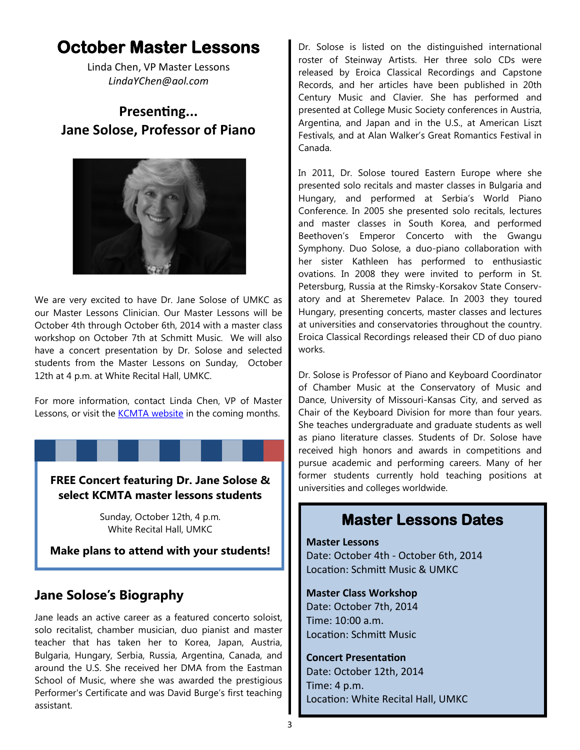## **October Master Lessons**

Linda Chen, VP Master Lessons *LindaYChen@aol.com* 

## **Presenting... Jane Solose, Professor of Piano**



We are very excited to have Dr. Jane Solose of UMKC as our Master Lessons Clinician. Our Master Lessons will be October 4th through October 6th, 2014 with a master class workshop on October 7th at Schmitt Music. We will also have a concert presentation by Dr. Solose and selected students from the Master Lessons on Sunday, October 12th at 4 p.m. at White Recital Hall, UMKC.

For more information, contact Linda Chen, VP of Master Lessons, or visit the [KCMTA website](http://kansascitymusicteachers.org/student-programs/master-lessons/) in the coming months.

**FREE Concert featuring Dr. Jane Solose & select KCMTA master lessons students**

> Sunday, October 12th, 4 p.m. White Recital Hall, UMKC

**Make plans to attend with your students!**

### **Jane Solose's Biography**

Jane leads an active career as a featured concerto soloist, solo recitalist, chamber musician, duo pianist and master teacher that has taken her to Korea, Japan, Austria, Bulgaria, Hungary, Serbia, Russia, Argentina, Canada, and around the U.S. She received her DMA from the Eastman School of Music, where she was awarded the prestigious Performer's Certificate and was David Burge's first teaching assistant.

Dr. Solose is listed on the distinguished international roster of Steinway Artists. Her three solo CDs were released by Eroica Classical Recordings and Capstone Records, and her articles have been published in 20th Century Music and Clavier. She has performed and presented at College Music Society conferences in Austria, Argentina, and Japan and in the U.S., at American Liszt Festivals, and at Alan Walker's Great Romantics Festival in Canada.

In 2011, Dr. Solose toured Eastern Europe where she presented solo recitals and master classes in Bulgaria and Hungary, and performed at Serbia's World Piano Conference. In 2005 she presented solo recitals, lectures and master classes in South Korea, and performed Beethoven's Emperor Concerto with the Gwangu Symphony. Duo Solose, a duo-piano collaboration with her sister Kathleen has performed to enthusiastic ovations. In 2008 they were invited to perform in St. Petersburg, Russia at the Rimsky-Korsakov State Conservatory and at Sheremetev Palace. In 2003 they toured Hungary, presenting concerts, master classes and lectures at universities and conservatories throughout the country. Eroica Classical Recordings released their CD of duo piano works.

Dr. Solose is Professor of Piano and Keyboard Coordinator of Chamber Music at the Conservatory of Music and Dance, University of Missouri-Kansas City, and served as Chair of the Keyboard Division for more than four years. She teaches undergraduate and graduate students as well as piano literature classes. Students of Dr. Solose have received high honors and awards in competitions and pursue academic and performing careers. Many of her former students currently hold teaching positions at universities and colleges worldwide.

## **Master Lessons Dates**

**Master Lessons** Date: October 4th - October 6th, 2014 Location: Schmitt Music & UMKC

**Master Class Workshop** Date: October 7th, 2014

Time: 10:00 a.m. Location: Schmitt Music

#### **Concert Presentation**

Date: October 12th, 2014 Time: 4 p.m. Location: White Recital Hall, UMKC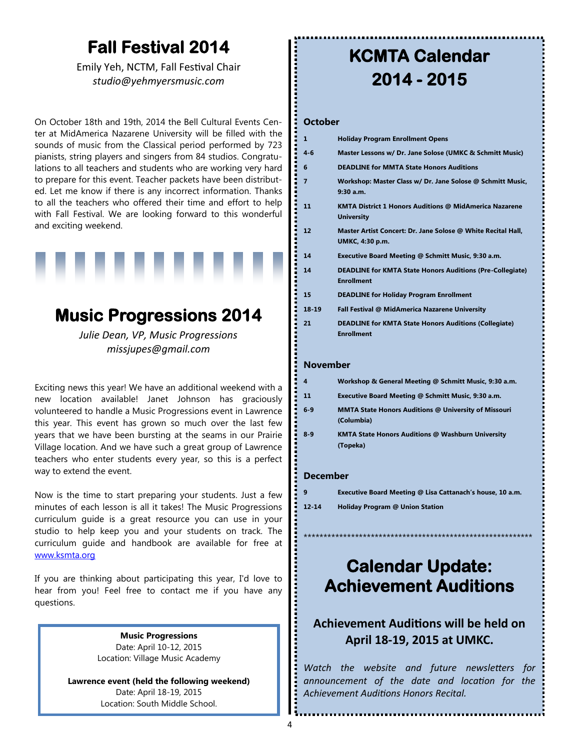## **Fall Festival 2014**

Emily Yeh, NCTM, Fall Festival Chair *studio@yehmyersmusic.com*

On October 18th and 19th, 2014 the Bell Cultural Events Center at MidAmerica Nazarene University will be filled with the sounds of music from the Classical period performed by 723 pianists, string players and singers from 84 studios. Congratulations to all teachers and students who are working very hard to prepare for this event. Teacher packets have been distributed. Let me know if there is any incorrect information. Thanks to all the teachers who offered their time and effort to help with Fall Festival. We are looking forward to this wonderful and exciting weekend.



## **Music Progressions 2014**

*Julie Dean, VP, Music Progressions missjupes@gmail.com*

Exciting news this year! We have an additional weekend with a new location available! Janet Johnson has graciously volunteered to handle a Music Progressions event in Lawrence this year. This event has grown so much over the last few years that we have been bursting at the seams in our Prairie Village location. And we have such a great group of Lawrence teachers who enter students every year, so this is a perfect way to extend the event.

Now is the time to start preparing your students. Just a few minutes of each lesson is all it takes! The Music Progressions curriculum guide is a great resource you can use in your studio to help keep you and your students on track. The curriculum guide and handbook are available for free at [www.ksmta.org](http://www.ksmta.org)

If you are thinking about participating this year, I'd love to hear from you! Feel free to contact me if you have any questions.

> **Music Progressions**  Date: April 10-12, 2015 Location: Village Music Academy

**Lawrence event (held the following weekend)** Date: April 18-19, 2015 Location: South Middle School.

## **KCMTA Calendar 2014 - 2015**

#### **October**

.............

| 1        | <b>Holiday Program Enrollment Opens</b>                                                                                                                                                                                         |
|----------|---------------------------------------------------------------------------------------------------------------------------------------------------------------------------------------------------------------------------------|
| 4-6      | Master Lessons w/ Dr. Jane Solose (UMKC & Schmitt Music)                                                                                                                                                                        |
| 6        | <b>DEADLINE for MMTA State Honors Auditions</b>                                                                                                                                                                                 |
| 7        | Workshop: Master Class w/ Dr. Jane Solose @ Schmitt Music,<br>$9:30$ a.m.                                                                                                                                                       |
| 11       | <b>KMTA District 1 Honors Auditions @ MidAmerica Nazarene</b><br><b>University</b>                                                                                                                                              |
| 12       | Master Artist Concert: Dr. Jane Solose @ White Recital Hall,<br>UMKC, 4:30 p.m.                                                                                                                                                 |
| 14       | Executive Board Meeting @ Schmitt Music, 9:30 a.m.                                                                                                                                                                              |
| 14       | <b>DEADLINE for KMTA State Honors Auditions (Pre-Collegiate)</b><br><b>Enrollment</b>                                                                                                                                           |
| 15       | <b>DEADLINE for Holiday Program Enrollment</b>                                                                                                                                                                                  |
| 18 19    | Fall Festival @ MidAmerica Nazarene University                                                                                                                                                                                  |
| 21       | <b>DEADLINE for KMTA State Honors Auditions (Collegiate)</b><br><b>Enrollment</b>                                                                                                                                               |
| November |                                                                                                                                                                                                                                 |
| 4        | Workshop & General Meeting @ Schmitt Music, 9:30 a.m.                                                                                                                                                                           |
| 11       | Executive Board Meeting @ Schmitt Music, 9:30 a.m.                                                                                                                                                                              |
| 6-9      | <b>MMTA State Honors Auditions @ University of Missouri</b><br>(Columbia)                                                                                                                                                       |
|          | $\sim$ 1979 . The contract of the contract of the contract of the contract of the contract of the contract of the contract of the contract of the contract of the contract of the contract of the contract of the contract of t |

#### **8-9 KMTA State Honors Auditions @ Washburn University (Topeka)**

#### **December**

| 9         | Executive Board Meeting @ Lisa Cattanach's house, 10 a.m. |
|-----------|-----------------------------------------------------------|
| $12 - 14$ | <b>Holiday Program @ Union Station</b>                    |

## \*\*\*\*\*\*\*\*\*\*\*\*\*\*\*\*\*\*\*\*\*\*\*\*\*\*\*\*\*\*\*\*\*\*\*\*\* **Calendar Update:**

## **Achievement Auditions**

#### **Achievement Auditions will be held on April 18-19, 2015 at UMKC.**

*Watch the website and future newsletters for announcement of the date and location for the Achievement Auditions Honors Recital.*